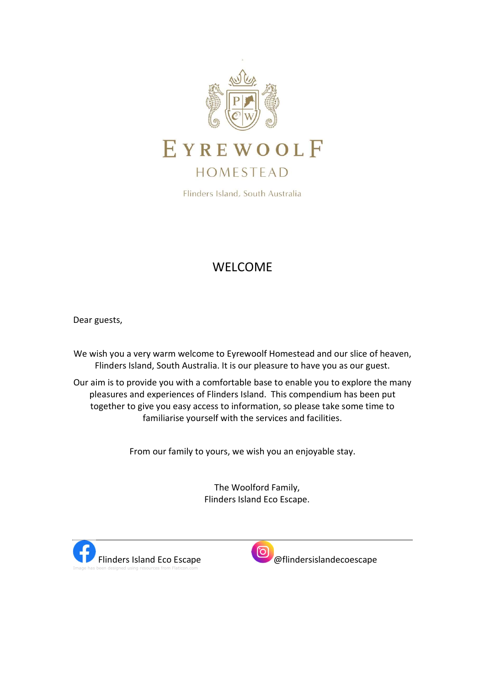

Flinders Island, South Australia

# WELCOME

Dear guests,

We wish you a very warm welcome to Eyrewoolf Homestead and our slice of heaven, Flinders Island, South Australia. It is our pleasure to have you as our guest.

Our aim is to provide you with a comfortable base to enable you to explore the many pleasures and experiences of Flinders Island. This compendium has been put together to give you easy access to information, so please take some time to familiarise yourself with the services and facilities.

From our family to yours, we wish you an enjoyable stay.

The Woolford Family, Flinders Island Eco Escape.



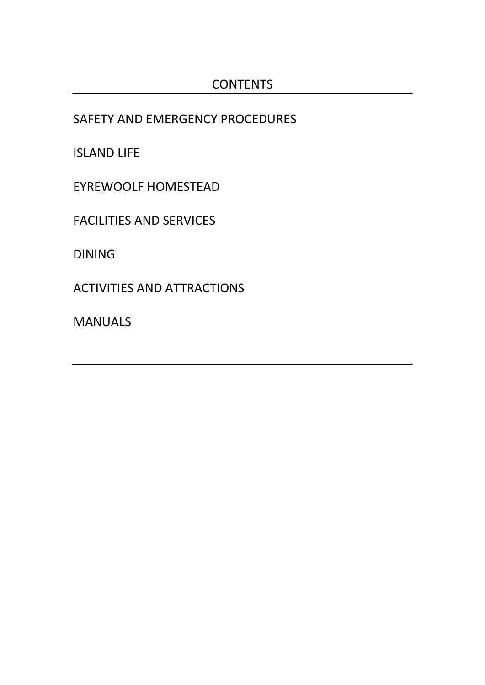SAFETY AND EMERGENCY PROCEDURES

ISLAND LIFE

EYREWOOLF HOMESTEAD

FACILITIES AND SERVICES

DINING

ACTIVITIES AND ATTRACTIONS

MANUALS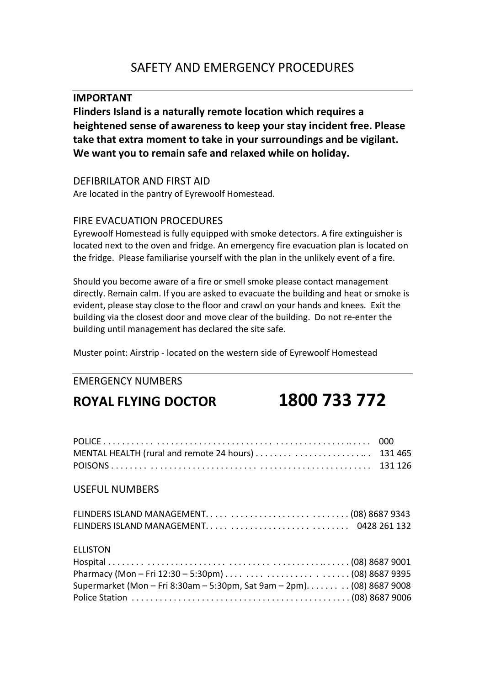# IMPORTANT

Flinders Island is a naturally remote location which requires a heightened sense of awareness to keep your stay incident free. Please take that extra moment to take in your surroundings and be vigilant. We want you to remain safe and relaxed while on holiday.

# DEFIBRILATOR AND FIRST AID

Are located in the pantry of Eyrewoolf Homestead.

# FIRE EVACUATION PROCEDURES

Eyrewoolf Homestead is fully equipped with smoke detectors. A fire extinguisher is located next to the oven and fridge. An emergency fire evacuation plan is located on the fridge. Please familiarise yourself with the plan in the unlikely event of a fire.

Should you become aware of a fire or smell smoke please contact management directly. Remain calm. If you are asked to evacuate the building and heat or smoke is evident, please stay close to the floor and crawl on your hands and knees. Exit the building via the closest door and move clear of the building. Do not re-enter the building until management has declared the site safe.

Muster point: Airstrip - located on the western side of Eyrewoolf Homestead

# EMERGENCY NUMBERS

# ROYAL FLYING DOCTOR 1800 733 772

|                                                                                           | 000 |
|-------------------------------------------------------------------------------------------|-----|
| <b>USEFUL NUMBERS</b>                                                                     |     |
|                                                                                           |     |
| <b>ELLISTON</b><br>Supermarket (Mon - Fri 8:30am - 5:30pm, Sat 9am - 2pm). (08) 8687 9008 |     |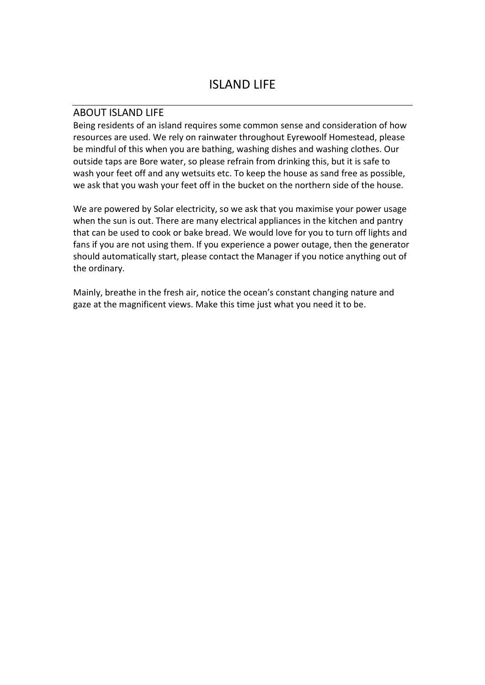### ABOUT ISLAND LIFE

Being residents of an island requires some common sense and consideration of how resources are used. We rely on rainwater throughout Eyrewoolf Homestead, please be mindful of this when you are bathing, washing dishes and washing clothes. Our outside taps are Bore water, so please refrain from drinking this, but it is safe to wash your feet off and any wetsuits etc. To keep the house as sand free as possible, we ask that you wash your feet off in the bucket on the northern side of the house.

We are powered by Solar electricity, so we ask that you maximise your power usage when the sun is out. There are many electrical appliances in the kitchen and pantry that can be used to cook or bake bread. We would love for you to turn off lights and fans if you are not using them. If you experience a power outage, then the generator should automatically start, please contact the Manager if you notice anything out of the ordinary.

Mainly, breathe in the fresh air, notice the ocean's constant changing nature and gaze at the magnificent views. Make this time just what you need it to be.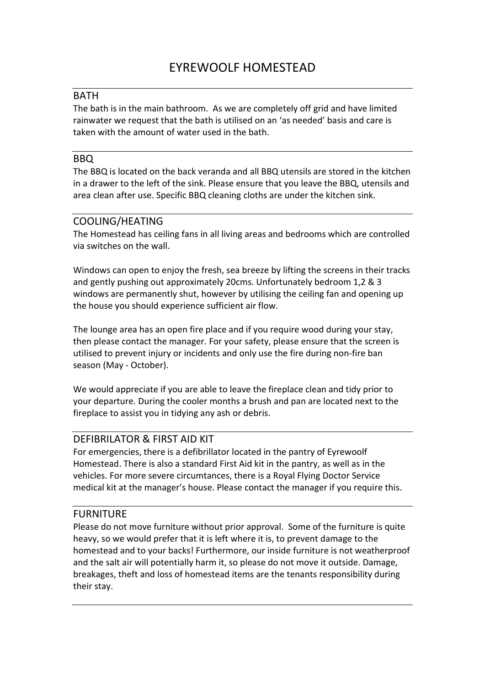# **BATH**

The bath is in the main bathroom. As we are completely off grid and have limited rainwater we request that the bath is utilised on an 'as needed' basis and care is taken with the amount of water used in the bath.

#### BBQ

The BBQ is located on the back veranda and all BBQ utensils are stored in the kitchen in a drawer to the left of the sink. Please ensure that you leave the BBQ, utensils and area clean after use. Specific BBQ cleaning cloths are under the kitchen sink.

# COOLING/HEATING

The Homestead has ceiling fans in all living areas and bedrooms which are controlled via switches on the wall.

Windows can open to enjoy the fresh, sea breeze by lifting the screens in their tracks and gently pushing out approximately 20cms. Unfortunately bedroom 1,2 & 3 windows are permanently shut, however by utilising the ceiling fan and opening up the house you should experience sufficient air flow.

The lounge area has an open fire place and if you require wood during your stay, then please contact the manager. For your safety, please ensure that the screen is utilised to prevent injury or incidents and only use the fire during non-fire ban season (May - October).

We would appreciate if you are able to leave the fireplace clean and tidy prior to your departure. During the cooler months a brush and pan are located next to the fireplace to assist you in tidying any ash or debris.

# DEFIBRILATOR & FIRST AID KIT

For emergencies, there is a defibrillator located in the pantry of Eyrewoolf Homestead. There is also a standard First Aid kit in the pantry, as well as in the vehicles. For more severe circumtances, there is a Royal Flying Doctor Service medical kit at the manager's house. Please contact the manager if you require this.

# FURNITURE

Please do not move furniture without prior approval. Some of the furniture is quite heavy, so we would prefer that it is left where it is, to prevent damage to the homestead and to your backs! Furthermore, our inside furniture is not weatherproof and the salt air will potentially harm it, so please do not move it outside. Damage, breakages, theft and loss of homestead items are the tenants responsibility during their stay.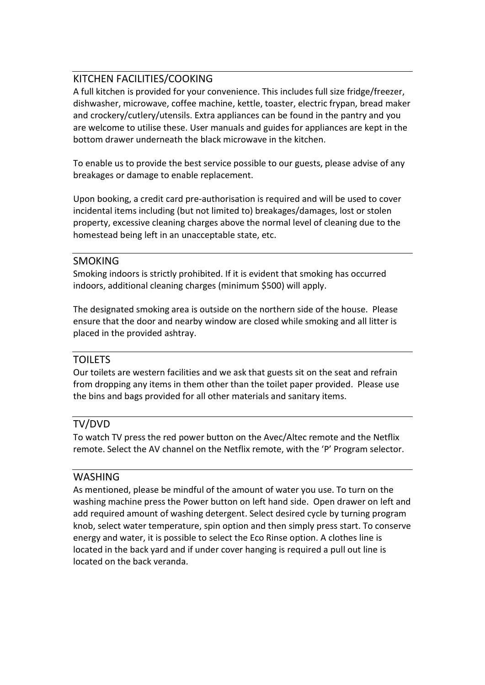# KITCHEN FACILITIES/COOKING

A full kitchen is provided for your convenience. This includes full size fridge/freezer, dishwasher, microwave, coffee machine, kettle, toaster, electric frypan, bread maker and crockery/cutlery/utensils. Extra appliances can be found in the pantry and you are welcome to utilise these. User manuals and guides for appliances are kept in the bottom drawer underneath the black microwave in the kitchen.

To enable us to provide the best service possible to our guests, please advise of any breakages or damage to enable replacement.

Upon booking, a credit card pre-authorisation is required and will be used to cover incidental items including (but not limited to) breakages/damages, lost or stolen property, excessive cleaning charges above the normal level of cleaning due to the homestead being left in an unacceptable state, etc.

#### SMOKING

Smoking indoors is strictly prohibited. If it is evident that smoking has occurred indoors, additional cleaning charges (minimum \$500) will apply.

The designated smoking area is outside on the northern side of the house. Please ensure that the door and nearby window are closed while smoking and all litter is placed in the provided ashtray.

#### TOILETS

Our toilets are western facilities and we ask that guests sit on the seat and refrain from dropping any items in them other than the toilet paper provided. Please use the bins and bags provided for all other materials and sanitary items.

#### TV/DVD

To watch TV press the red power button on the Avec/Altec remote and the Netflix remote. Select the AV channel on the Netflix remote, with the 'P' Program selector.

# WASHING

As mentioned, please be mindful of the amount of water you use. To turn on the washing machine press the Power button on left hand side. Open drawer on left and add required amount of washing detergent. Select desired cycle by turning program knob, select water temperature, spin option and then simply press start. To conserve energy and water, it is possible to select the Eco Rinse option. A clothes line is located in the back yard and if under cover hanging is required a pull out line is located on the back veranda.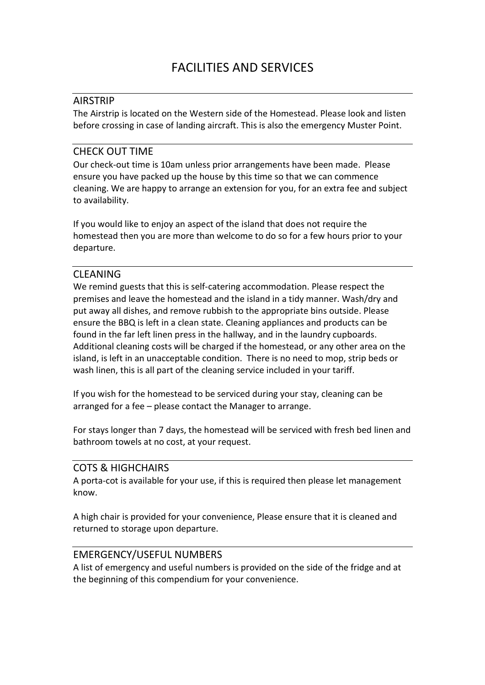### AIRSTRIP

The Airstrip is located on the Western side of the Homestead. Please look and listen before crossing in case of landing aircraft. This is also the emergency Muster Point.

### CHECK OUT TIME

Our check-out time is 10am unless prior arrangements have been made. Please ensure you have packed up the house by this time so that we can commence cleaning. We are happy to arrange an extension for you, for an extra fee and subject to availability.

If you would like to enjoy an aspect of the island that does not require the homestead then you are more than welcome to do so for a few hours prior to your departure.

#### **CLEANING**

We remind guests that this is self-catering accommodation. Please respect the premises and leave the homestead and the island in a tidy manner. Wash/dry and put away all dishes, and remove rubbish to the appropriate bins outside. Please ensure the BBQ is left in a clean state. Cleaning appliances and products can be found in the far left linen press in the hallway, and in the laundry cupboards. Additional cleaning costs will be charged if the homestead, or any other area on the island, is left in an unacceptable condition. There is no need to mop, strip beds or wash linen, this is all part of the cleaning service included in your tariff.

If you wish for the homestead to be serviced during your stay, cleaning can be arranged for a fee – please contact the Manager to arrange.

For stays longer than 7 days, the homestead will be serviced with fresh bed linen and bathroom towels at no cost, at your request.

#### COTS & HIGHCHAIRS

A porta-cot is available for your use, if this is required then please let management know.

A high chair is provided for your convenience, Please ensure that it is cleaned and returned to storage upon departure.

# EMERGENCY/USEFUL NUMBERS

A list of emergency and useful numbers is provided on the side of the fridge and at the beginning of this compendium for your convenience.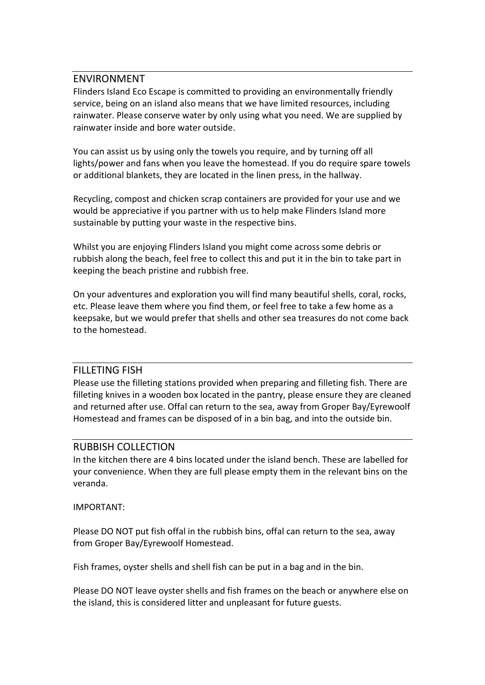#### ENVIRONMENT

Flinders Island Eco Escape is committed to providing an environmentally friendly service, being on an island also means that we have limited resources, including rainwater. Please conserve water by only using what you need. We are supplied by rainwater inside and bore water outside.

You can assist us by using only the towels you require, and by turning off all lights/power and fans when you leave the homestead. If you do require spare towels or additional blankets, they are located in the linen press, in the hallway.

Recycling, compost and chicken scrap containers are provided for your use and we would be appreciative if you partner with us to help make Flinders Island more sustainable by putting your waste in the respective bins.

Whilst you are enjoying Flinders Island you might come across some debris or rubbish along the beach, feel free to collect this and put it in the bin to take part in keeping the beach pristine and rubbish free.

On your adventures and exploration you will find many beautiful shells, coral, rocks, etc. Please leave them where you find them, or feel free to take a few home as a keepsake, but we would prefer that shells and other sea treasures do not come back to the homestead.

#### FILLETING FISH

Please use the filleting stations provided when preparing and filleting fish. There are filleting knives in a wooden box located in the pantry, please ensure they are cleaned and returned after use. Offal can return to the sea, away from Groper Bay/Eyrewoolf Homestead and frames can be disposed of in a bin bag, and into the outside bin.

#### RUBBISH COLLECTION

In the kitchen there are 4 bins located under the island bench. These are labelled for your convenience. When they are full please empty them in the relevant bins on the veranda.

#### IMPORTANT:

Please DO NOT put fish offal in the rubbish bins, offal can return to the sea, away from Groper Bay/Eyrewoolf Homestead.

Fish frames, oyster shells and shell fish can be put in a bag and in the bin.

Please DO NOT leave oyster shells and fish frames on the beach or anywhere else on the island, this is considered litter and unpleasant for future guests.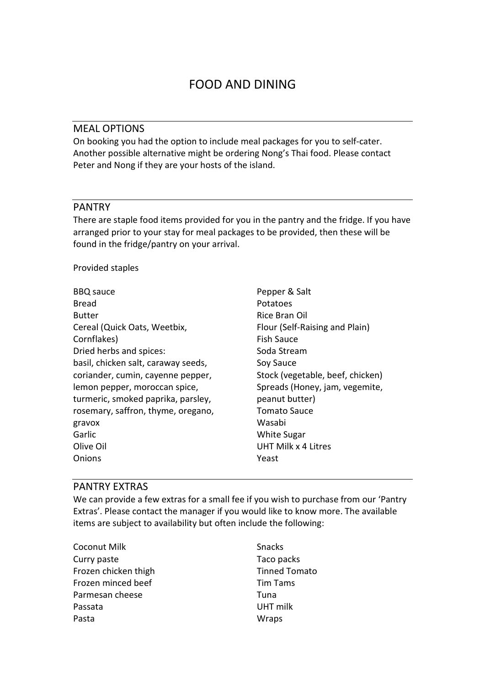### MEAL OPTIONS

On booking you had the option to include meal packages for you to self-cater. Another possible alternative might be ordering Nong's Thai food. Please contact Peter and Nong if they are your hosts of the island.

#### PANTRY

There are staple food items provided for you in the pantry and the fridge. If you have arranged prior to your stay for meal packages to be provided, then these will be found in the fridge/pantry on your arrival.

Provided staples

| <b>BBQ</b> sauce                    | Pepper & Salt                    |
|-------------------------------------|----------------------------------|
| Bread                               | Potatoes                         |
| <b>Butter</b>                       | Rice Bran Oil                    |
| Cereal (Quick Oats, Weetbix,        | Flour (Self-Raising and Plain)   |
| Cornflakes)                         | <b>Fish Sauce</b>                |
| Dried herbs and spices:             | Soda Stream                      |
| basil, chicken salt, caraway seeds, | Soy Sauce                        |
| coriander, cumin, cayenne pepper,   | Stock (vegetable, beef, chicken) |
| lemon pepper, moroccan spice,       | Spreads (Honey, jam, vegemite,   |
| turmeric, smoked paprika, parsley,  | peanut butter)                   |
| rosemary, saffron, thyme, oregano,  | <b>Tomato Sauce</b>              |
| gravox                              | Wasabi                           |
| Garlic                              | <b>White Sugar</b>               |
| Olive Oil                           | UHT Milk x 4 Litres              |
| Onions                              | Yeast                            |

#### PANTRY EXTRAS

We can provide a few extras for a small fee if you wish to purchase from our 'Pantry Extras'. Please contact the manager if you would like to know more. The available items are subject to availability but often include the following:

Coconut Milk Curry paste Frozen chicken thigh Frozen minced beef Parmesan cheese Passata Pasta

Snacks Taco packs Tinned Tomato Tim Tams Tuna UHT milk **Wraps**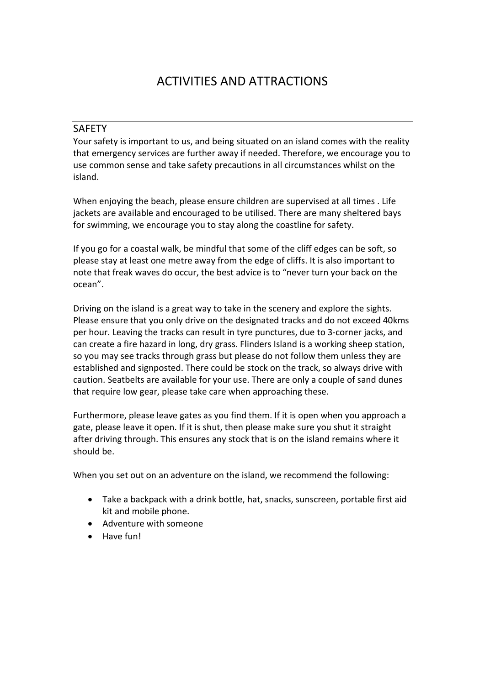# ACTIVITIES AND ATTRACTIONS

### SAFETY

Your safety is important to us, and being situated on an island comes with the reality that emergency services are further away if needed. Therefore, we encourage you to use common sense and take safety precautions in all circumstances whilst on the island.

When enjoying the beach, please ensure children are supervised at all times . Life jackets are available and encouraged to be utilised. There are many sheltered bays for swimming, we encourage you to stay along the coastline for safety.

If you go for a coastal walk, be mindful that some of the cliff edges can be soft, so please stay at least one metre away from the edge of cliffs. It is also important to note that freak waves do occur, the best advice is to "never turn your back on the ocean".

Driving on the island is a great way to take in the scenery and explore the sights. Please ensure that you only drive on the designated tracks and do not exceed 40kms per hour. Leaving the tracks can result in tyre punctures, due to 3-corner jacks, and can create a fire hazard in long, dry grass. Flinders Island is a working sheep station, so you may see tracks through grass but please do not follow them unless they are established and signposted. There could be stock on the track, so always drive with caution. Seatbelts are available for your use. There are only a couple of sand dunes that require low gear, please take care when approaching these.

Furthermore, please leave gates as you find them. If it is open when you approach a gate, please leave it open. If it is shut, then please make sure you shut it straight after driving through. This ensures any stock that is on the island remains where it should be.

When you set out on an adventure on the island, we recommend the following:

- Take a backpack with a drink bottle, hat, snacks, sunscreen, portable first aid kit and mobile phone.
- Adventure with someone
- Have fun!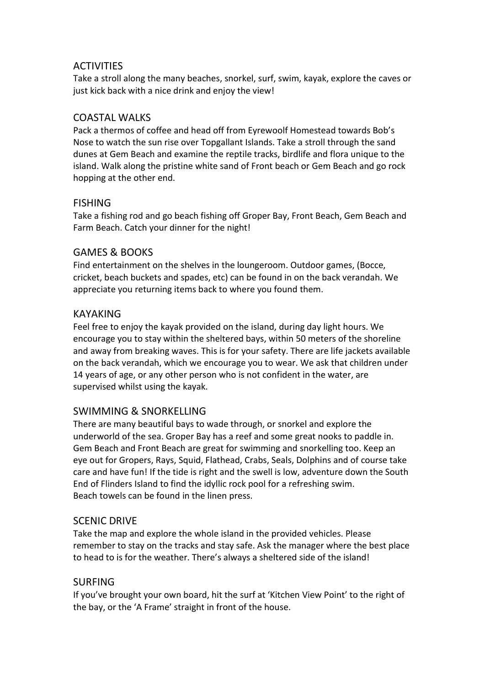# **ACTIVITIES**

Take a stroll along the many beaches, snorkel, surf, swim, kayak, explore the caves or just kick back with a nice drink and enjoy the view!

# COASTAL WALKS

Pack a thermos of coffee and head off from Eyrewoolf Homestead towards Bob's Nose to watch the sun rise over Topgallant Islands. Take a stroll through the sand dunes at Gem Beach and examine the reptile tracks, birdlife and flora unique to the island. Walk along the pristine white sand of Front beach or Gem Beach and go rock hopping at the other end.

# **FISHING**

Take a fishing rod and go beach fishing off Groper Bay, Front Beach, Gem Beach and Farm Beach. Catch your dinner for the night!

# GAMES & BOOKS

Find entertainment on the shelves in the loungeroom. Outdoor games, (Bocce, cricket, beach buckets and spades, etc) can be found in on the back verandah. We appreciate you returning items back to where you found them.

# KAYAKING

Feel free to enjoy the kayak provided on the island, during day light hours. We encourage you to stay within the sheltered bays, within 50 meters of the shoreline and away from breaking waves. This is for your safety. There are life jackets available on the back verandah, which we encourage you to wear. We ask that children under 14 years of age, or any other person who is not confident in the water, are supervised whilst using the kayak.

# SWIMMING & SNORKELLING

There are many beautiful bays to wade through, or snorkel and explore the underworld of the sea. Groper Bay has a reef and some great nooks to paddle in. Gem Beach and Front Beach are great for swimming and snorkelling too. Keep an eye out for Gropers, Rays, Squid, Flathead, Crabs, Seals, Dolphins and of course take care and have fun! If the tide is right and the swell is low, adventure down the South End of Flinders Island to find the idyllic rock pool for a refreshing swim. Beach towels can be found in the linen press.

# SCENIC DRIVE

Take the map and explore the whole island in the provided vehicles. Please remember to stay on the tracks and stay safe. Ask the manager where the best place to head to is for the weather. There's always a sheltered side of the island!

# SURFING

If you've brought your own board, hit the surf at 'Kitchen View Point' to the right of the bay, or the 'A Frame' straight in front of the house.